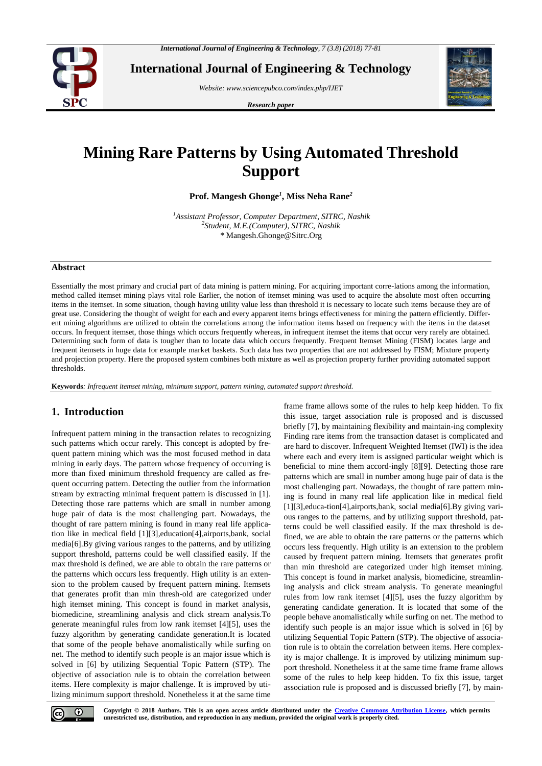

**International Journal of Engineering & Technology**

*Website: [www.sciencepubco.com/index.php/IJET](http://www.sciencepubco.com/index.php/IJET)*

*Research paper*



# **Mining Rare Patterns by Using Automated Threshold Support**

**Prof. Mangesh Ghonge***<sup>1</sup>* **, Miss Neha Rane***<sup>2</sup>*

*<sup>1</sup>Assistant Professor, Computer Department, SITRC, Nashik 2 Student, M.E.(Computer), SITRC, Nashik \** Mangesh.Ghonge@Sitrc.Org

#### **Abstract**

Essentially the most primary and crucial part of data mining is pattern mining. For acquiring important corre-lations among the information, method called itemset mining plays vital role Earlier, the notion of itemset mining was used to acquire the absolute most often occurring items in the itemset. In some situation, though having utility value less than threshold it is necessary to locate such items because they are of great use. Considering the thought of weight for each and every apparent items brings effectiveness for mining the pattern efficiently. Different mining algorithms are utilized to obtain the correlations among the information items based on frequency with the items in the dataset occurs. In frequent itemset, those things which occurs frequently whereas, in infrequent itemset the items that occur very rarely are obtained. Determining such form of data is tougher than to locate data which occurs frequently. Frequent Itemset Mining (FISM) locates large and frequent itemsets in huge data for example market baskets. Such data has two properties that are not addressed by FISM; Mixture property and projection property. Here the proposed system combines both mixture as well as projection property further providing automated support thresholds.

**Keywords***: Infrequent itemset mining, minimum support, pattern mining, automated support threshold.*

# **1. Introduction**

Infrequent pattern mining in the transaction relates to recognizing such patterns which occur rarely. This concept is adopted by frequent pattern mining which was the most focused method in data mining in early days. The pattern whose frequency of occurring is more than fixed minimum threshold frequency are called as frequent occurring pattern. Detecting the outlier from the information stream by extracting minimal frequent pattern is discussed in [1]. Detecting those rare patterns which are small in number among huge pair of data is the most challenging part. Nowadays, the thought of rare pattern mining is found in many real life application like in medical field [1][3],education[4],airports,bank, social media[6].By giving various ranges to the patterns, and by utilizing support threshold, patterns could be well classified easily. If the max threshold is defined, we are able to obtain the rare patterns or the patterns which occurs less frequently. High utility is an extension to the problem caused by frequent pattern mining. Itemsets that generates profit than min thresh-old are categorized under high itemset mining. This concept is found in market analysis, biomedicine, streamlining analysis and click stream analysis.To generate meaningful rules from low rank itemset [4][5], uses the fuzzy algorithm by generating candidate generation.It is located that some of the people behave anomalistically while surfing on net. The method to identify such people is an major issue which is solved in [6] by utilizing Sequential Topic Pattern (STP). The objective of association rule is to obtain the correlation between items. Here complexity is major challenge. It is improved by utilizing minimum support threshold. Nonetheless it at the same time frame frame allows some of the rules to help keep hidden. To fix this issue, target association rule is proposed and is discussed briefly [7], by maintaining flexibility and maintain-ing complexity Finding rare items from the transaction dataset is complicated and are hard to discover. Infrequent Weighted Itemset (IWI) is the idea where each and every item is assigned particular weight which is beneficial to mine them accord-ingly [8][9]. Detecting those rare patterns which are small in number among huge pair of data is the most challenging part. Nowadays, the thought of rare pattern mining is found in many real life application like in medical field [1][3],educa-tion[4],airports,bank, social media[6].By giving various ranges to the patterns, and by utilizing support threshold, patterns could be well classified easily. If the max threshold is defined, we are able to obtain the rare patterns or the patterns which occurs less frequently. High utility is an extension to the problem caused by frequent pattern mining. Itemsets that generates profit than min threshold are categorized under high itemset mining. This concept is found in market analysis, biomedicine, streamlining analysis and click stream analysis. To generate meaningful rules from low rank itemset [4][5], uses the fuzzy algorithm by generating candidate generation. It is located that some of the people behave anomalistically while surfing on net. The method to identify such people is an major issue which is solved in [6] by utilizing Sequential Topic Pattern (STP). The objective of association rule is to obtain the correlation between items. Here complexity is major challenge. It is improved by utilizing minimum support threshold. Nonetheless it at the same time frame frame allows some of the rules to help keep hidden. To fix this issue, target association rule is proposed and is discussed briefly [7], by main-

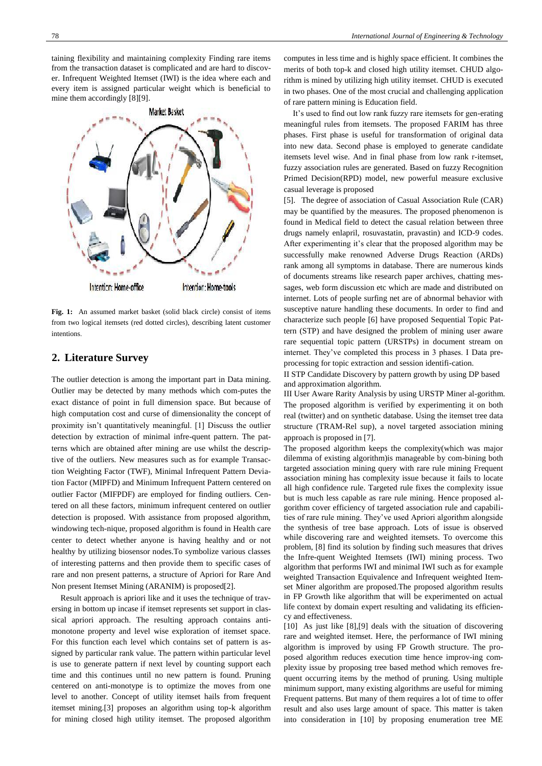taining flexibility and maintaining complexity Finding rare items from the transaction dataset is complicated and are hard to discover. Infrequent Weighted Itemset (IWI) is the idea where each and every item is assigned particular weight which is beneficial to mine them accordingly [8][9].



**Fig. 1:** An assumed market basket (solid black circle) consist of items from two logical itemsets (red dotted circles), describing latent customer intentions.

# **2. Literature Survey**

The outlier detection is among the important part in Data mining. Outlier may be detected by many methods which com-putes the exact distance of point in full dimension space. But because of high computation cost and curse of dimensionality the concept of proximity isn't quantitatively meaningful. [1] Discuss the outlier detection by extraction of minimal infre-quent pattern. The patterns which are obtained after mining are use whilst the descriptive of the outliers. New measures such as for example Transaction Weighting Factor (TWF), Minimal Infrequent Pattern Deviation Factor (MIPFD) and Minimum Infrequent Pattern centered on outlier Factor (MIFPDF) are employed for finding outliers. Centered on all these factors, minimum infrequent centered on outlier detection is proposed. With assistance from proposed algorithm, windowing tech-nique, proposed algorithm is found in Health care center to detect whether anyone is having healthy and or not healthy by utilizing biosensor nodes.To symbolize various classes of interesting patterns and then provide them to specific cases of rare and non present patterns, a structure of Apriori for Rare And Non present Itemset Mining (ARANIM) is proposed[2].

Result approach is apriori like and it uses the technique of traversing in bottom up incase if itemset represents set support in classical apriori approach. The resulting approach contains antimonotone property and level wise exploration of itemset space. For this function each level which contains set of pattern is assigned by particular rank value. The pattern within particular level is use to generate pattern if next level by counting support each time and this continues until no new pattern is found. Pruning centered on anti-monotype is to optimize the moves from one level to another. Concept of utility itemset hails from frequent itemset mining.[3] proposes an algorithm using top-k algorithm for mining closed high utility itemset. The proposed algorithm computes in less time and is highly space efficient. It combines the merits of both top-k and closed high utility itemset. CHUD algorithm is mined by utilizing high utility itemset. CHUD is executed in two phases. One of the most crucial and challenging application of rare pattern mining is Education field.

It's used to find out low rank fuzzy rare itemsets for gen-erating meaningful rules from itemsets. The proposed FARIM has three phases. First phase is useful for transformation of original data into new data. Second phase is employed to generate candidate itemsets level wise. And in final phase from low rank r-itemset, fuzzy association rules are generated. Based on fuzzy Recognition Primed Decision(RPD) model, new powerful measure exclusive casual leverage is proposed

[5]. The degree of association of Casual Association Rule (CAR) may be quantified by the measures. The proposed phenomenon is found in Medical field to detect the casual relation between three drugs namely enlapril, rosuvastatin, pravastin) and ICD-9 codes. After experimenting it's clear that the proposed algorithm may be successfully make renowned Adverse Drugs Reaction (ARDs) rank among all symptoms in database. There are numerous kinds of documents streams like research paper archives, chatting messages, web form discussion etc which are made and distributed on internet. Lots of people surfing net are of abnormal behavior with susceptive nature handling these documents. In order to find and characterize such people [6] have proposed Sequential Topic Pattern (STP) and have designed the problem of mining user aware rare sequential topic pattern (URSTPs) in document stream on internet. They've completed this process in 3 phases. I Data preprocessing for topic extraction and session identifi-cation.

II STP Candidate Discovery by pattern growth by using DP based and approximation algorithm.

III User Aware Rarity Analysis by using URSTP Miner al-gorithm. The proposed algorithm is verified by experimenting it on both real (twitter) and on synthetic database. Using the itemset tree data structure (TRAM-Rel sup), a novel targeted association mining approach is proposed in [7].

The proposed algorithm keeps the complexity(which was major dilemma of existing algorithm)is manageable by com-bining both targeted association mining query with rare rule mining Frequent association mining has complexity issue because it fails to locate all high confidence rule. Targeted rule fixes the complexity issue but is much less capable as rare rule mining. Hence proposed algorithm cover efficiency of targeted association rule and capabilities of rare rule mining. They've used Apriori algorithm alongside the synthesis of tree base approach. Lots of issue is observed while discovering rare and weighted itemsets. To overcome this problem, [8] find its solution by finding such measures that drives the Infre-quent Weighted Itemsets (IWI) mining process. Two algorithm that performs IWI and minimal IWI such as for example weighted Transaction Equivalence and Infrequent weighted Itemset Miner algorithm are proposed.The proposed algorithm results in FP Growth like algorithm that will be experimented on actual life context by domain expert resulting and validating its efficiency and effectiveness.

[10] As just like [8],[9] deals with the situation of discovering rare and weighted itemset. Here, the performance of IWI mining algorithm is improved by using FP Growth structure. The proposed algorithm reduces execution time hence improv-ing complexity issue by proposing tree based method which removes frequent occurring items by the method of pruning. Using multiple minimum support, many existing algorithms are useful for miming Frequent patterns. But many of them requires a lot of time to offer result and also uses large amount of space. This matter is taken into consideration in [10] by proposing enumeration tree ME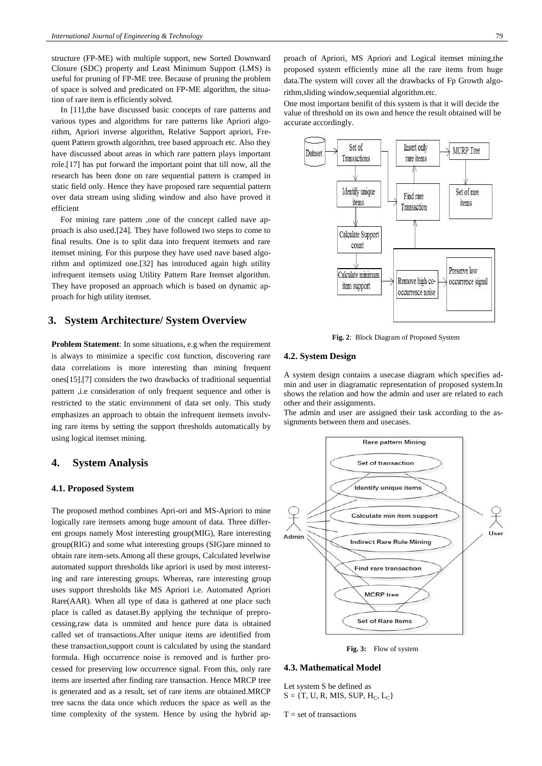structure (FP-ME) with multiple support, new Sorted Downward Closure (SDC) property and Least Minimum Support (LMS) is useful for pruning of FP-ME tree. Because of pruning the problem of space is solved and predicated on FP-ME algorithm, the situation of rare item is efficiently solved.

In [11], the have discussed basic concepts of rare patterns and various types and algorithms for rare patterns like Apriori algorithm, Apriori inverse algorithm, Relative Support apriori, Frequent Pattern growth algorithm, tree based approach etc. Also they have discussed about areas in which rare pattern plays important role.[17] has put forward the important point that till now, all the research has been done on rare sequential pattern is cramped in static field only. Hence they have proposed rare sequential pattern over data stream using sliding window and also have proved it efficient

For mining rare pattern ,one of the concept called nave approach is also used.[24]. They have followed two steps to come to final results. One is to split data into frequent itemsets and rare itemset mining. For this purpose they have used nave based algorithm and optimized one.[32] has introduced again high utility infrequent itemsets using Utility Pattern Rare Itemset algorithm. They have proposed an approach which is based on dynamic approach for high utility itemset.

## **3. System Architecture/ System Overview**

**Problem Statement**: In some situations, e.g when the requirement is always to minimize a specific cost function, discovering rare data correlations is more interesting than mining frequent ones[15].[7] considers the two drawbacks of traditional sequential pattern ,i.e consideration of only frequent sequence and other is restricted to the static environment of data set only. This study emphasizes an approach to obtain the infrequent itemsets involving rare items by setting the support thresholds automatically by using logical itemset mining.

## **4. System Analysis**

## **4.1. Proposed System**

The proposed method combines Apri-ori and MS-Apriori to mine logically rare itemsets among huge amount of data. Three different groups namely Most interesting group(MIG), Rare interesting group(RIG) and some what interesting groups (SIG)are minned to obtain rare item-sets.Among all these groups, Calculated levelwise automated support thresholds like apriori is used by most interesting and rare interesting groups. Whereas, rare interesting group uses support thresholds like MS Apriori i.e. Automated Apriori Rare(AAR). When all type of data is gathered at one place such place is called as dataset.By applying the technique of preprocessing,raw data is ommited and hence pure data is obtained called set of transactions.After unique items are identified from these transaction,support count is calculated by using the standard formula. High occurrence noise is removed and is further processed for preserving low occurrence signal. From this, only rare items are inserted after finding rare transaction. Hence MRCP tree is generated and as a result, set of rare items are obtained.MRCP tree sacns the data once which reduces the space as well as the time complexity of the system. Hence by using the hybrid approach of Apriori, MS Apriori and Logical itemset mining,the proposed system efficiently mine all the rare items from huge data.The system will cover all the drawbacks of Fp Growth algorithm,sliding window,sequential algorithm.etc.

One most important benifit of this system is that it will decide the value of threshold on its own and hence the result obtained will be accurate accordingly.



**Fig. 2**: Block Diagram of Proposed System

#### **4.2. System Design**

A system design contains a usecase diagram which specifies admin and user in diagramatic representation of proposed system.In shows the relation and how the admin and user are related to each other and their assignments.

The admin and user are assigned their task according to the assignments between them and usecases.



**Fig. 3:** Flow of system

#### **4.3. Mathematical Model**

Let system S be defined as  $S = \{T, U, R, MIS, SUP, H_C, L_C\}$ 

 $T = set of transactions$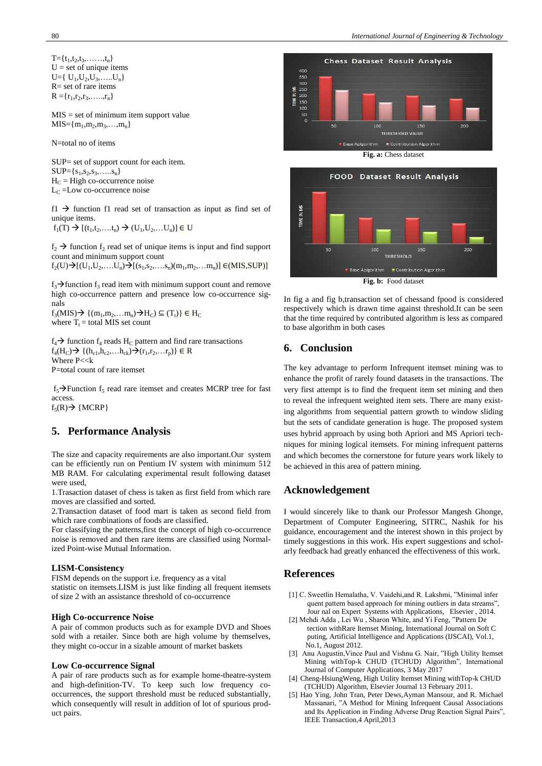$T = \{t_1, t_2, t_3, \ldots, t_n\}$  $U = set of unique items$  $U = \{ U_1, U_2, U_3, \ldots, U_n \}$ R= set of rare items  $R = {r_1, r_2, r_3, \ldots, r_n}$ 

MIS = set of minimum item support value  $MIS = {m_1, m_2, m_3, \ldots, m_n}$ 

N=total no of items

SUP= set of support count for each item.  $SUP = \{s_1, s_2, s_3, \ldots, s_n\}$  $H_C$  = High co-occurrence noise  $L<sub>C</sub>$  =Low co-occurrence noise

f1  $\rightarrow$  function f1 read set of transaction as input as find set of unique items.

 $f_1(T) \to [(t_1, t_2, \ldots, t_n) \to (U_1, U_2, \ldots, U_n)] \in U$ 

 $f_2 \rightarrow$  function  $f_2$  read set of unique items is input and find support count and minimum support count  $f_2(U) \rightarrow [(U_1, U_2, \ldots, U_n) \rightarrow [(s_1, s_2, \ldots, s_n)(m_1, m_2, \ldots, m_n)] \in (MIS, SUP)]$ 

 $f_3 \rightarrow$  function  $f_3$  read item with minimum support count and remove high co-occurrence pattern and presence low co-occurrence signals

 $f_3(MIS) \rightarrow \{(m_1, m_2, \ldots m_n) \rightarrow H_C \} \subseteq (T_t) \} \in H_C$ where  $T_t =$  total MIS set count

 $f_4$   $\rightarrow$  function  $f_4$  reads  $H_C$  pattern and find rare transactions  $f_4(H_C) \rightarrow \{(h_{c1}, h_{c2}, \dots h_{ck}) \rightarrow (r_1, r_2, \dots r_p)\}\in R$ Where P<<k P=total count of rare itemset

 $f_5 \rightarrow$  Function  $f_5$  read rare itemset and creates MCRP tree for fast access.  $f_5(R) \rightarrow \{MCRP\}$ 

# **5. Performance Analysis**

The size and capacity requirements are also important.Our system can be efficiently run on Pentium IV system with minimum 512 MB RAM. For calculating experimental result following dataset were used,

1.Trasaction dataset of chess is taken as first field from which rare moves are classified and sorted.

2.Transaction dataset of food mart is taken as second field from which rare combinations of foods are classified.

For classifying the patterns,first the concept of high co-occurrence noise is removed and then rare items are classified using Normalized Point-wise Mutual Information.

#### **LISM-Consistency**

FISM depends on the support i.e. frequency as a vital statistic on itemsets.LISM is just like finding all frequent itemsets of size 2 with an assistance threshold of co-occurrence

#### **High Co-occurrence Noise**

A pair of common products such as for example DVD and Shoes sold with a retailer. Since both are high volume by themselves, they might co-occur in a sizable amount of market baskets

#### **Low Co-occurrence Signal**

A pair of rare products such as for example home-theatre-system and high-definition-TV. To keep such low frequency cooccurrences, the support threshold must be reduced substantially, which consequently will result in addition of lot of spurious product pairs.



**Fig. a:** Chess dataset



In fig a and fig b,transaction set of chessand fpood is considered respectively which is drawn time against threshold.It can be seen that the time required by contributed algorithm is less as compared to base algorithm in both cases

## **6. Conclusion**

The key advantage to perform Infrequent itemset mining was to enhance the profit of rarely found datasets in the transactions. The very first attempt is to find the frequent item set mining and then to reveal the infrequent weighted item sets. There are many existing algorithms from sequential pattern growth to window sliding but the sets of candidate generation is huge. The proposed system uses hybrid approach by using both Apriori and MS Apriori techniques for mining logical itemsets. For mining infrequent patterns and which becomes the cornerstone for future years work likely to be achieved in this area of pattern mining.

## **Acknowledgement**

I would sincerely like to thank our Professor Mangesh Ghonge, Department of Computer Engineering, SITRC, Nashik for his guidance, encouragement and the interest shown in this project by timely suggestions in this work. His expert suggestions and scholarly feedback had greatly enhanced the effectiveness of this work.

## **References**

- [1] C. Sweetlin Hemalatha, V. Vaidehi,and R. Lakshmi, "Minimal infer quent pattern based approach for mining outliers in data streams", Jour nal on Expert Systems with Applications, Elsevier , 2014.
- [2] Mehdi Adda , Lei Wu , Sharon White, and Yi Feng, "Pattern De tection withRare Itemset Mining, International Journal on Soft C puting, Artificial Intelligence and Applications (IJSCAI), Vol.1, No.1, August 2012.
- [3] Anu Augustin,Vince Paul and Vishnu G. Nair, "High Utility Itemset Mining withTop-k CHUD (TCHUD) Algorithm", International Journal of Computer Applications, 3 May 2017
- [4] Cheng-HsiungWeng, High Utility Itemset Mining withTop-k CHUD (TCHUD) Algorithm, Elsevier Journal 13 February 2011.
- [5] Hao Ying, John Tran, Peter Dews,Ayman Mansour, and R. Michael Massanari, "A Method for Mining Infrequent Causal Associations and Its Application in Finding Adverse Drug Reaction Signal Pairs", IEEE Transaction,4 April,2013